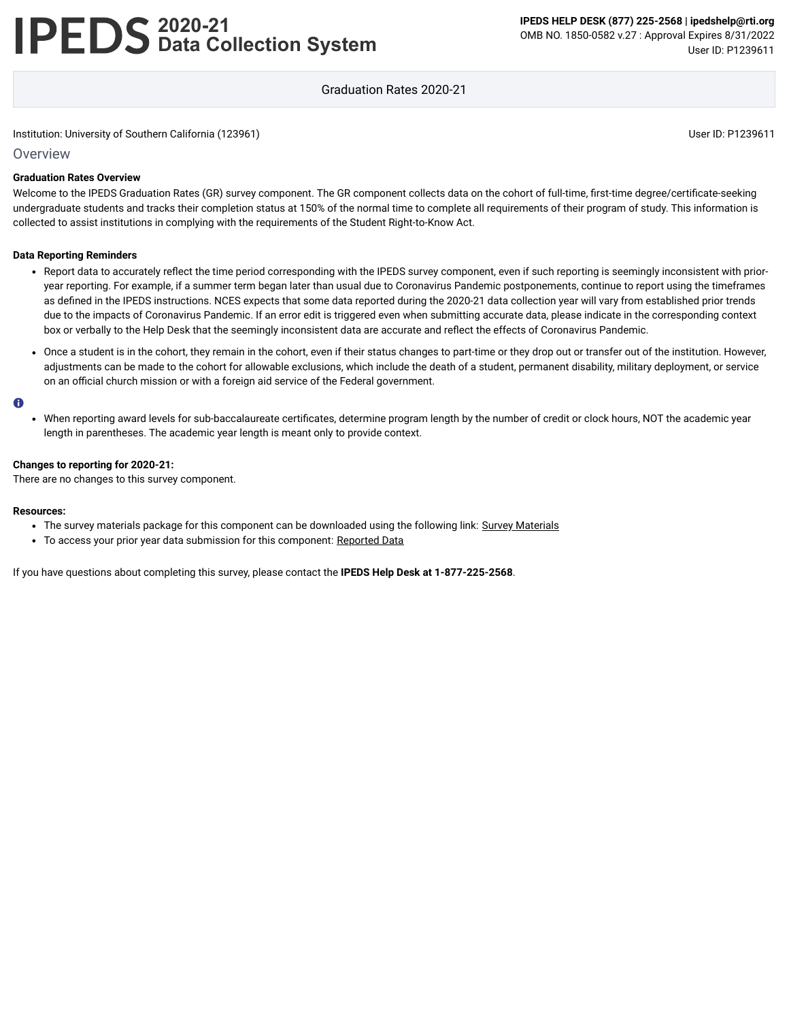# **2020-21 Data Collection System**

Graduation Rates 2020-21

#### Institution: University of Southern California (123961) User ID: P1239611

#### Overview

#### **Graduation Rates Overview**

Welcome to the IPEDS Graduation Rates (GR) survey component. The GR component collects data on the cohort of full-time, first-time degree/certificate-seeking undergraduate students and tracks their completion status at 150% of the normal time to complete all requirements of their program of study. This information is collected to assist institutions in complying with the requirements of the Student Right-to-Know Act.

#### **Data Reporting Reminders**

- Report data to accurately reflect the time period corresponding with the IPEDS survey component, even if such reporting is seemingly inconsistent with prioryear reporting. For example, if a summer term began later than usual due to Coronavirus Pandemic postponements, continue to report using the timeframes as defined in the IPEDS instructions. NCES expects that some data reported during the 2020-21 data collection year will vary from established prior trends due to the impacts of Coronavirus Pandemic. If an error edit is triggered even when submitting accurate data, please indicate in the corresponding context box or verbally to the Help Desk that the seemingly inconsistent data are accurate and reflect the effects of Coronavirus Pandemic.
- Once a student is in the cohort, they remain in the cohort, even if their status changes to part-time or they drop out or transfer out of the institution. However, adjustments can be made to the cohort for allowable exclusions, which include the death of a student, permanent disability, military deployment, or service on an official church mission or with a foreign aid service of the Federal government.

#### $\bullet$

When reporting award levels for sub-baccalaureate certificates, determine program length by the number of credit or clock hours, NOT the academic year length in parentheses. The academic year length is meant only to provide context.

#### **Changes to reporting for 2020-21:**

There are no changes to this survey component.

#### **Resources:**

- The survey materials package for this component can be downloaded using the following link: Survey [Materials](https://surveys.nces.ed.gov/ipeds/public/survey-materials/index)
- To access your prior year data submission for this component: [Reported Data](https://surveys.nces.ed.gov/IPEDS_py/DataForms.aspx?f0e9e4efc4dfb8acadaeb4b1aca1eef0edf1e0f4c4dfb8afa1f0eee0edc4dfb8cbacadaeb4b1acaca1f0e9e4efc9dce8e0b8d0e9e4f1e0edeee4eff49beae19bceeaf0efe3e0ede99bbedce7e4e1eaede9e4dca1ebedeadee0eeeeb8e0f3efe0ede9dce7a1eddfefb8adaaacadaaadabadac9bafb5aeb1b5aeae9bcbc8)

If you have questions about completing this survey, please contact the **IPEDS Help Desk at 1-877-225-2568**.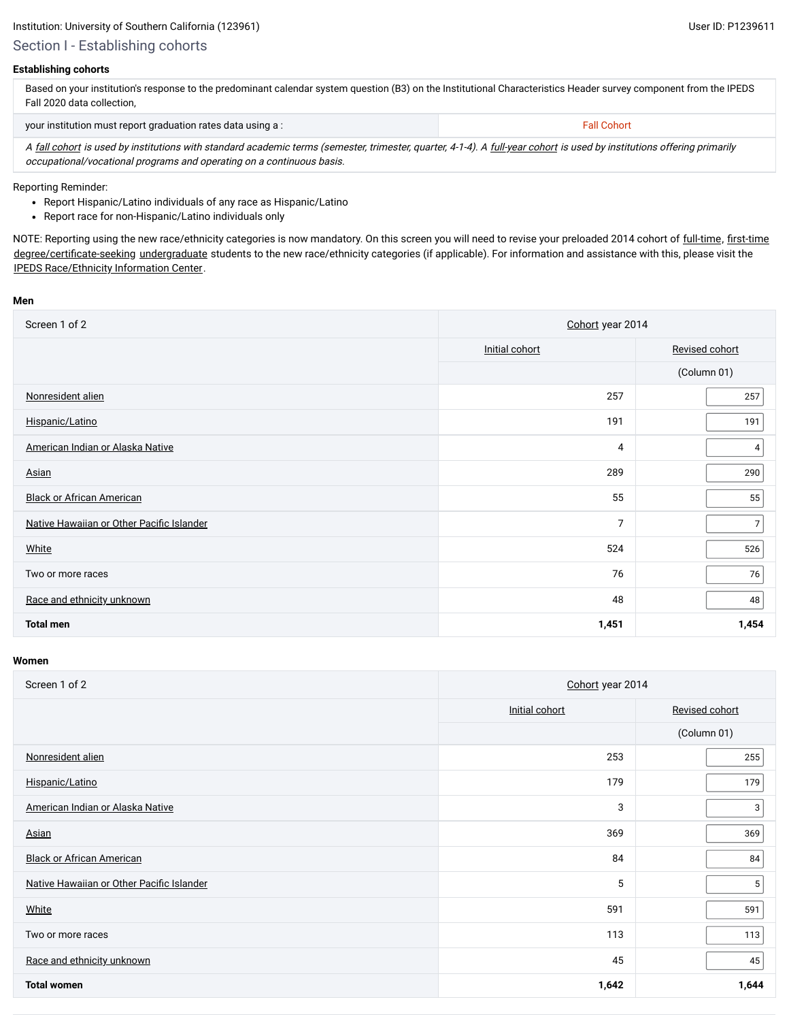Section I - Establishing cohorts

#### **Establishing cohorts**

| Based on your institution's response to the predominant calendar system question (B3) on the Institutional Characteristics Header survey component from the IPEDS |
|-------------------------------------------------------------------------------------------------------------------------------------------------------------------|
| Fall 2020 data collection.                                                                                                                                        |
|                                                                                                                                                                   |

| your institution must report graduation rates data using a:                                                                                                             | <b>Fall Cohort</b> |  |  |  |
|-------------------------------------------------------------------------------------------------------------------------------------------------------------------------|--------------------|--|--|--|
| A fall cohort is used by institutions with standard academic terms (semester, trimester, quarter, 4-1-4). A full-year cohort is used by institutions offering primarily |                    |  |  |  |
| occupational/vocational programs and operating on a continuous basis.                                                                                                   |                    |  |  |  |

Reporting Reminder:

- Report Hispanic/Latino individuals of any race as Hispanic/Latino
- Report race for non-Hispanic/Latino individuals only

NOTE: Reporting using the new race/ethnicity categories is now mandatory. On this screen you will need to revise your preloaded 2014 cohort of [full-time,](javascript:openglossary(259)) [first-time](javascript:openglossary(241)) [degree/certificate-seeking](javascript:openglossary(171)) [undergraduate](javascript:openglossary(677)) students to the new race/ethnicity categories (if applicable). For information and assistance with this, please visit the [IPEDS Race/Ethnicity](https://nces.ed.gov/ipeds/report-your-data/resource-center-race-ethnicity) Information Center.

#### **Men**

| Screen 1 of 2                             | Cohort year 2014 |                |  |
|-------------------------------------------|------------------|----------------|--|
|                                           | Initial cohort   | Revised cohort |  |
|                                           |                  | (Column 01)    |  |
| Nonresident alien                         | 257              | 257            |  |
| Hispanic/Latino                           | 191              | 191            |  |
| American Indian or Alaska Native          | 4                | 4              |  |
| Asian                                     | 289              | 290            |  |
| <b>Black or African American</b>          | 55               | 55             |  |
| Native Hawaiian or Other Pacific Islander | 7                | $\overline{7}$ |  |
| White                                     | 524              | 526            |  |
| Two or more races                         | 76               | 76             |  |
| Race and ethnicity unknown                | 48               | 48             |  |
| <b>Total men</b>                          | 1,451            | 1,454          |  |

| Screen 1 of 2                             | Cohort year 2014 |                |  |
|-------------------------------------------|------------------|----------------|--|
|                                           | Initial cohort   | Revised cohort |  |
|                                           |                  | (Column 01)    |  |
| Nonresident alien                         | 253              | 255            |  |
| Hispanic/Latino                           | 179              | 179            |  |
| American Indian or Alaska Native          | 3                | 3              |  |
| Asian                                     | 369              | 369            |  |
| <b>Black or African American</b>          | 84               | 84             |  |
| Native Hawaiian or Other Pacific Islander | 5                | 5              |  |
| White                                     | 591              | 591            |  |
| Two or more races                         | 113              | 113            |  |
| Race and ethnicity unknown                | 45               | 45             |  |
| <b>Total women</b>                        | 1,642            | 1,644          |  |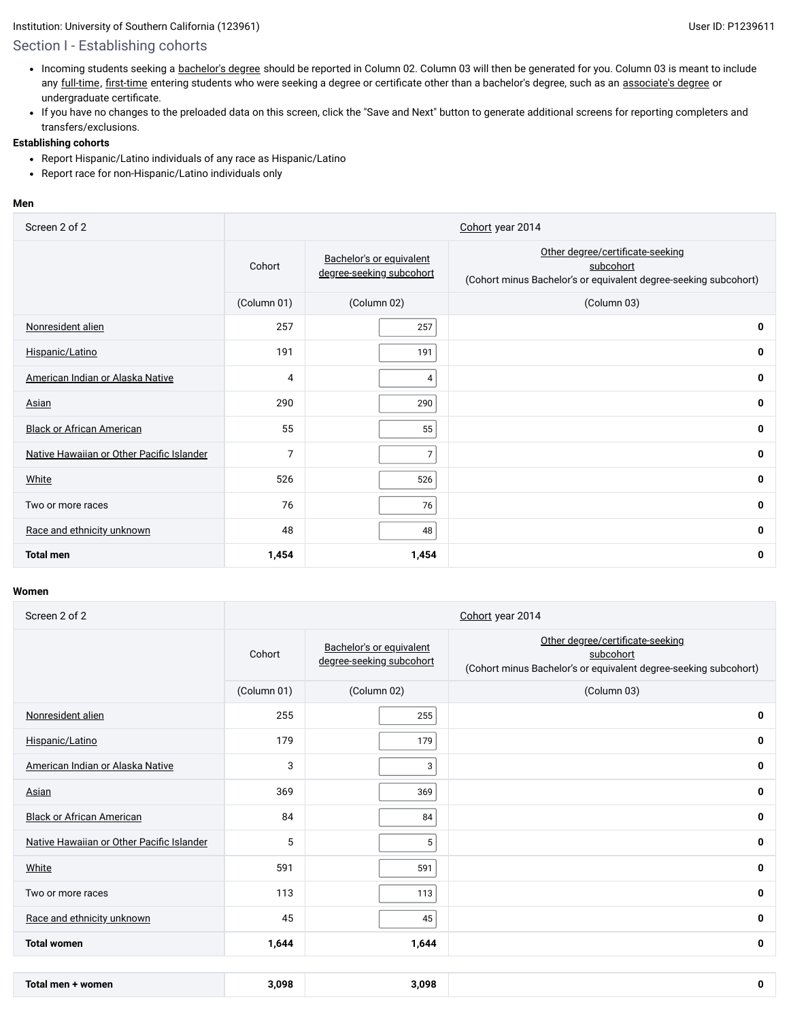# Section I - Establishing cohorts

- Incoming students seeking a [bachelor's](javascript:openglossary(77)) degree should be reported in Column 02. Column 03 will then be generated for you. Column 03 is meant to include any [full-time,](javascript:openglossary(259)) [first-time](javascript:openglossary(241)) entering students who were seeking a degree or certificate other than a bachelor's degree, such as an [associate's](javascript:openglossary(55)) degree or undergraduate certificate.
- If you have no changes to the preloaded data on this screen, click the "Save and Next" button to generate additional screens for reporting completers and transfers/exclusions.

#### **Establishing cohorts**

- Report Hispanic/Latino individuals of any race as Hispanic/Latino
- Report race for non-Hispanic/Latino individuals only

#### **Men**

| Screen 2 of 2                             | Cohort year 2014 |                                                      |                                                                                                                   |  |  |
|-------------------------------------------|------------------|------------------------------------------------------|-------------------------------------------------------------------------------------------------------------------|--|--|
|                                           | Cohort           | Bachelor's or equivalent<br>degree-seeking subcohort | Other degree/certificate-seeking<br>subcohort<br>(Cohort minus Bachelor's or equivalent degree-seeking subcohort) |  |  |
|                                           | (Column 01)      | (Column 02)                                          | (Column 03)                                                                                                       |  |  |
| Nonresident alien                         | 257              | 257                                                  | $\mathbf 0$                                                                                                       |  |  |
| Hispanic/Latino                           | 191              | 191                                                  | 0                                                                                                                 |  |  |
| American Indian or Alaska Native          | 4                | 4                                                    | $\mathbf 0$                                                                                                       |  |  |
| Asian                                     | 290              | 290                                                  | 0                                                                                                                 |  |  |
| <b>Black or African American</b>          | 55               | 55                                                   | $\mathbf 0$                                                                                                       |  |  |
| Native Hawaiian or Other Pacific Islander | $\overline{7}$   | 7                                                    | $\mathbf 0$                                                                                                       |  |  |
| White                                     | 526              | 526                                                  | $\mathbf 0$                                                                                                       |  |  |
| Two or more races                         | 76               | 76                                                   | 0                                                                                                                 |  |  |
| Race and ethnicity unknown                | 48               | 48                                                   | $\mathbf 0$                                                                                                       |  |  |
| <b>Total men</b>                          | 1,454            | 1,454                                                | 0                                                                                                                 |  |  |

| Screen 2 of 2                             | Cohort year 2014 |                                                      |                                                                                                                   |  |  |
|-------------------------------------------|------------------|------------------------------------------------------|-------------------------------------------------------------------------------------------------------------------|--|--|
|                                           | Cohort           | Bachelor's or equivalent<br>degree-seeking subcohort | Other degree/certificate-seeking<br>subcohort<br>(Cohort minus Bachelor's or equivalent degree-seeking subcohort) |  |  |
|                                           | (Column 01)      | (Column 02)                                          | (Column 03)                                                                                                       |  |  |
| Nonresident alien                         | 255              | 255                                                  | 0                                                                                                                 |  |  |
| Hispanic/Latino                           | 179              | 179                                                  | 0                                                                                                                 |  |  |
| American Indian or Alaska Native          | 3                | 3                                                    | 0                                                                                                                 |  |  |
| Asian                                     | 369              | 369                                                  | 0                                                                                                                 |  |  |
| <b>Black or African American</b>          | 84               | 84                                                   | 0                                                                                                                 |  |  |
| Native Hawaiian or Other Pacific Islander | 5                | 5                                                    | 0                                                                                                                 |  |  |
| White                                     | 591              | 591                                                  | 0                                                                                                                 |  |  |
| Two or more races                         | 113              | 113                                                  | 0                                                                                                                 |  |  |
| Race and ethnicity unknown                | 45               | 45                                                   | 0                                                                                                                 |  |  |
| <b>Total women</b>                        | 1,644            | 1,644                                                | 0                                                                                                                 |  |  |
|                                           |                  |                                                      |                                                                                                                   |  |  |
| Total men + women                         | 3,098            | 3,098                                                | 0                                                                                                                 |  |  |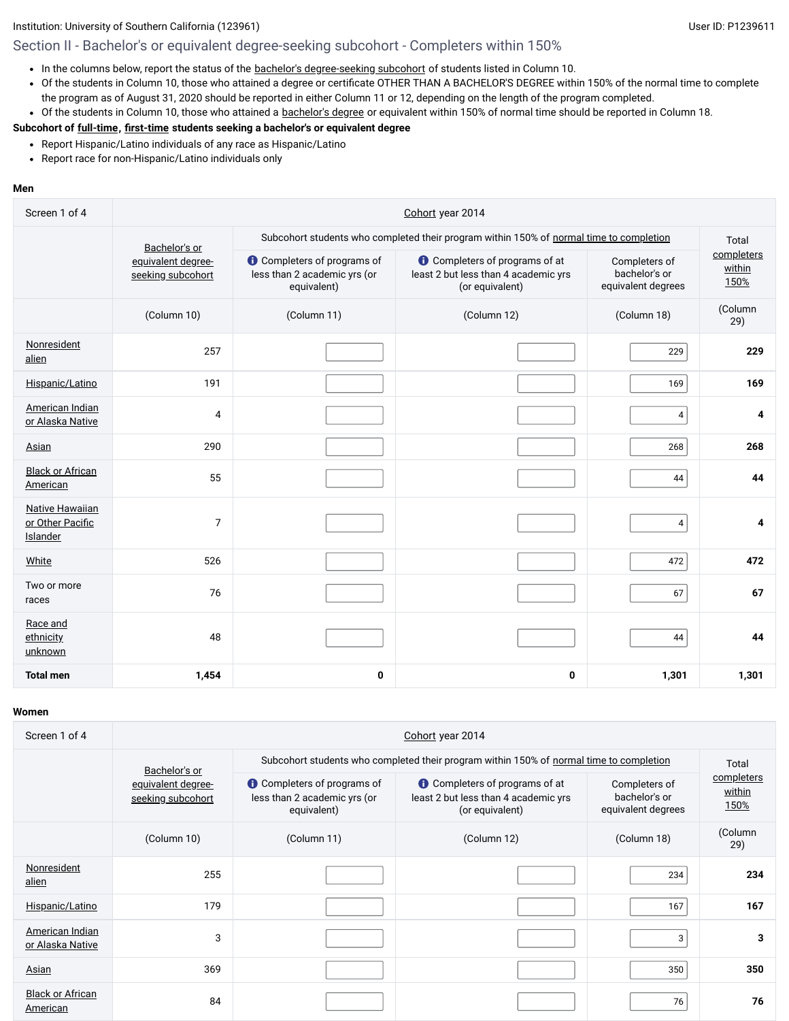# Section II - Bachelor's or equivalent degree-seeking subcohort - Completers within 150%

- In the columns below, report the status of the bachelor's [degree-seeking](javascript:openglossary(79)) subcohort of students listed in Column 10.
- Of the students in Column 10, those who attained a degree or certificate OTHER THAN A BACHELOR'S DEGREE within 150% of the normal time to complete the program as of August 31, 2020 should be reported in either Column 11 or 12, depending on the length of the program completed.
- Of the students in Column 10, those who attained a [bachelor's](javascript:openglossary(77)) degree or equivalent within 150% of normal time should be reported in Column 18.

#### **Subcohort of [full-time](javascript:openglossary(259)), [first-time](javascript:openglossary(241)) students seeking a bachelor's or equivalent degree**

- Report Hispanic/Latino individuals of any race as Hispanic/Latino
- Report race for non-Hispanic/Latino individuals only

#### **Men**

| Screen 1 of 4                                          | Cohort year 2014                        |                                                                                   |                                                                                                  |                                                      |                              |  |
|--------------------------------------------------------|-----------------------------------------|-----------------------------------------------------------------------------------|--------------------------------------------------------------------------------------------------|------------------------------------------------------|------------------------------|--|
|                                                        | Bachelor's or                           |                                                                                   | Subcohort students who completed their program within 150% of normal time to completion          |                                                      | Total                        |  |
|                                                        | equivalent degree-<br>seeking subcohort | <b>O</b> Completers of programs of<br>less than 2 academic yrs (or<br>equivalent) | <b>O</b> Completers of programs of at<br>least 2 but less than 4 academic yrs<br>(or equivalent) | Completers of<br>bachelor's or<br>equivalent degrees | completers<br>within<br>150% |  |
|                                                        | (Column 10)                             | (Column 11)                                                                       | (Column 12)                                                                                      | (Column 18)                                          | (Column<br>29)               |  |
| Nonresident<br>alien                                   | 257                                     |                                                                                   |                                                                                                  | 229                                                  | 229                          |  |
| Hispanic/Latino                                        | 191                                     |                                                                                   |                                                                                                  | 169                                                  | 169                          |  |
| American Indian<br>or Alaska Native                    | 4                                       |                                                                                   |                                                                                                  | 4                                                    | 4                            |  |
| Asian                                                  | 290                                     |                                                                                   |                                                                                                  | 268                                                  | 268                          |  |
| <b>Black or African</b><br>American                    | 55                                      |                                                                                   |                                                                                                  | 44                                                   | 44                           |  |
| <b>Native Hawaiian</b><br>or Other Pacific<br>Islander | 7                                       |                                                                                   |                                                                                                  | $\overline{4}$                                       | 4                            |  |
| White                                                  | 526                                     |                                                                                   |                                                                                                  | 472                                                  | 472                          |  |
| Two or more<br>races                                   | 76                                      |                                                                                   |                                                                                                  | 67                                                   | 67                           |  |
| Race and<br>ethnicity<br>unknown                       | 48                                      |                                                                                   |                                                                                                  | 44                                                   | 44                           |  |
| <b>Total men</b>                                       | 1,454                                   | 0                                                                                 | 0                                                                                                | 1,301                                                | 1,301                        |  |

| Screen 1 of 4                       | Cohort year 2014                        |                                                                                   |                                                                                                  |                                                      |                              |  |  |
|-------------------------------------|-----------------------------------------|-----------------------------------------------------------------------------------|--------------------------------------------------------------------------------------------------|------------------------------------------------------|------------------------------|--|--|
|                                     | Bachelor's or                           |                                                                                   | Subcohort students who completed their program within 150% of normal time to completion          | Total                                                |                              |  |  |
|                                     | equivalent degree-<br>seeking subcohort | <b>O</b> Completers of programs of<br>less than 2 academic yrs (or<br>equivalent) | <b>O</b> Completers of programs of at<br>least 2 but less than 4 academic yrs<br>(or equivalent) | Completers of<br>bachelor's or<br>equivalent degrees | completers<br>within<br>150% |  |  |
|                                     | (Column 10)                             | (Column 11)                                                                       | (Column 12)                                                                                      | (Column 18)                                          | (Column<br>29)               |  |  |
| Nonresident<br>alien                | 255                                     |                                                                                   |                                                                                                  | 234                                                  | 234                          |  |  |
| Hispanic/Latino                     | 179                                     |                                                                                   |                                                                                                  | 167                                                  | 167                          |  |  |
| American Indian<br>or Alaska Native | 3                                       |                                                                                   |                                                                                                  | 3                                                    | 3                            |  |  |
| <b>Asian</b>                        | 369                                     |                                                                                   |                                                                                                  | 350                                                  | 350                          |  |  |
| <b>Black or African</b><br>American | 84                                      |                                                                                   |                                                                                                  | 76                                                   | 76                           |  |  |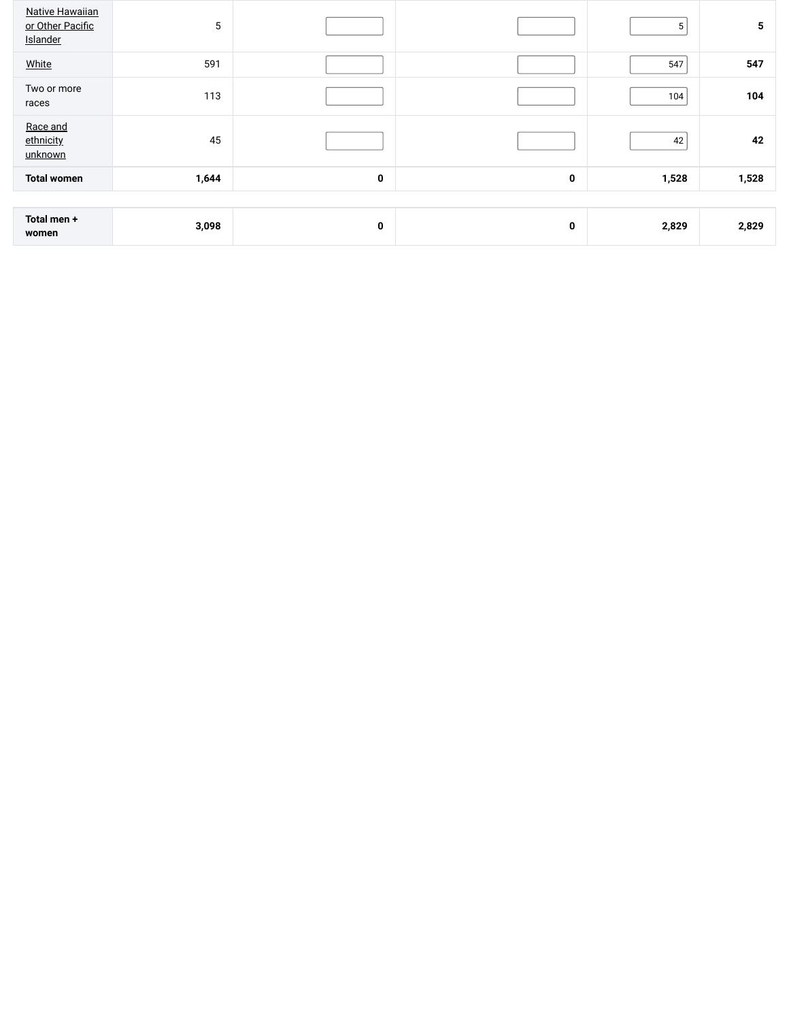| <b>Native Hawaiian</b><br>or Other Pacific<br>Islander | 5     |   |   | 5     | 5     |
|--------------------------------------------------------|-------|---|---|-------|-------|
| White                                                  | 591   |   |   | 547   | 547   |
| Two or more<br>races                                   | 113   |   |   | 104   | 104   |
| Race and<br>ethnicity<br>unknown                       | 45    |   |   | 42    | 42    |
| <b>Total women</b>                                     | 1,644 | 0 | 0 | 1,528 | 1,528 |
|                                                        |       |   |   |       |       |
| Total men +<br>women                                   | 3,098 | 0 | 0 | 2,829 | 2,829 |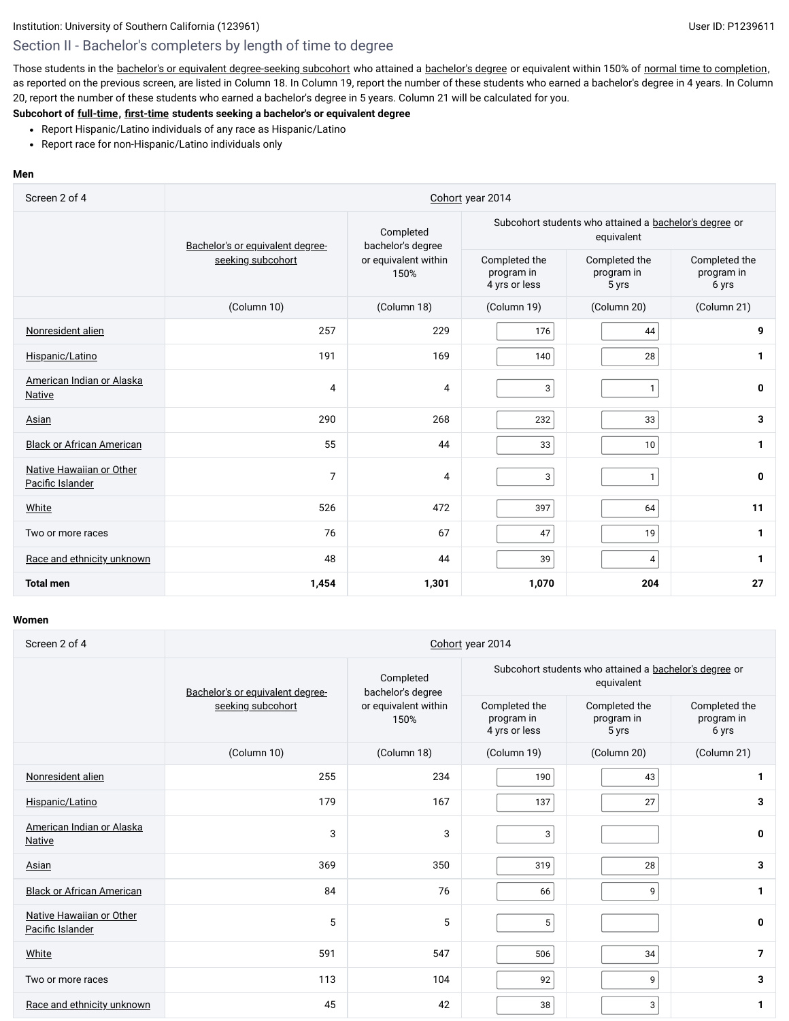Those students in the bachelor's or equivalent [degree-seeking](javascript:openglossary(79)) subcohort who attained a [bachelor's](javascript:openglossary(77)) degree or equivalent within 150% of normal time to [completion,](javascript:openglossary(421)) as reported on the previous screen, are listed in Column 18. In Column 19, report the number of these students who earned a bachelor's degree in 4 years. In Column 20, report the number of these students who earned a bachelor's degree in 5 years. Column 21 will be calculated for you.

# **Subcohort of [full-time](javascript:openglossary(259)), [first-time](javascript:openglossary(241)) students seeking a bachelor's or equivalent degree**

- Report Hispanic/Latino individuals of any race as Hispanic/Latino
- Report race for non-Hispanic/Latino individuals only

#### **Men**

| Screen 2 of 4                                | Cohort year 2014                 |                                |                                                                      |                                      |                                      |  |
|----------------------------------------------|----------------------------------|--------------------------------|----------------------------------------------------------------------|--------------------------------------|--------------------------------------|--|
|                                              | Bachelor's or equivalent degree- | Completed<br>bachelor's degree | Subcohort students who attained a bachelor's degree or<br>equivalent |                                      |                                      |  |
|                                              | seeking subcohort                | or equivalent within<br>150%   | Completed the<br>program in<br>4 yrs or less                         | Completed the<br>program in<br>5 yrs | Completed the<br>program in<br>6 yrs |  |
|                                              | (Column 10)                      | (Column 18)                    | (Column 19)                                                          | (Column 20)                          | (Column 21)                          |  |
| Nonresident alien                            | 257                              | 229                            | 176                                                                  | 44                                   | 9                                    |  |
| Hispanic/Latino                              | 191                              | 169                            | 140                                                                  | 28                                   | $\mathbf{1}$                         |  |
| American Indian or Alaska<br><b>Native</b>   | 4                                | 4                              | 3                                                                    | $\mathbf{1}$                         | 0                                    |  |
| Asian                                        | 290                              | 268                            | 232                                                                  | 33                                   | 3                                    |  |
| <b>Black or African American</b>             | 55                               | 44                             | 33                                                                   | 10                                   | 1                                    |  |
| Native Hawaiian or Other<br>Pacific Islander | $\overline{7}$                   | 4                              | 3                                                                    | $\mathbf{1}$                         | 0                                    |  |
| White                                        | 526                              | 472                            | 397                                                                  | 64                                   | 11                                   |  |
| Two or more races                            | 76                               | 67                             | 47                                                                   | 19                                   | $\mathbf{1}$                         |  |
| Race and ethnicity unknown                   | 48                               | 44                             | 39                                                                   | $\overline{4}$                       | $\mathbf{1}$                         |  |
| <b>Total men</b>                             | 1,454                            | 1,301                          | 1,070                                                                | 204                                  | 27                                   |  |

| Screen 2 of 4                                | Cohort year 2014                 |                                |                                              |                                                                      |                                      |  |
|----------------------------------------------|----------------------------------|--------------------------------|----------------------------------------------|----------------------------------------------------------------------|--------------------------------------|--|
|                                              | Bachelor's or equivalent degree- | Completed<br>bachelor's degree |                                              | Subcohort students who attained a bachelor's degree or<br>equivalent |                                      |  |
|                                              | seeking subcohort                | or equivalent within<br>150%   | Completed the<br>program in<br>4 yrs or less | Completed the<br>program in<br>5 yrs                                 | Completed the<br>program in<br>6 yrs |  |
|                                              | (Column 10)                      | (Column 18)                    | (Column 19)                                  | (Column 20)                                                          | (Column 21)                          |  |
| Nonresident alien                            | 255                              | 234                            | 190                                          | 43                                                                   | 1                                    |  |
| Hispanic/Latino                              | 179                              | 167                            | 137                                          | 27                                                                   | 3                                    |  |
| American Indian or Alaska<br>Native          | 3                                | 3                              | 3                                            |                                                                      | 0                                    |  |
| Asian                                        | 369                              | 350                            | 319                                          | 28                                                                   | 3                                    |  |
| <b>Black or African American</b>             | 84                               | 76                             | 66                                           | 9                                                                    | 1                                    |  |
| Native Hawaiian or Other<br>Pacific Islander | 5                                | 5                              | 5                                            |                                                                      | 0                                    |  |
| White                                        | 591                              | 547                            | 506                                          | 34                                                                   | $\overline{7}$                       |  |
| Two or more races                            | 113                              | 104                            | 92                                           | 9                                                                    | 3                                    |  |
| Race and ethnicity unknown                   | 45                               | 42                             | 38                                           | 3                                                                    | 1                                    |  |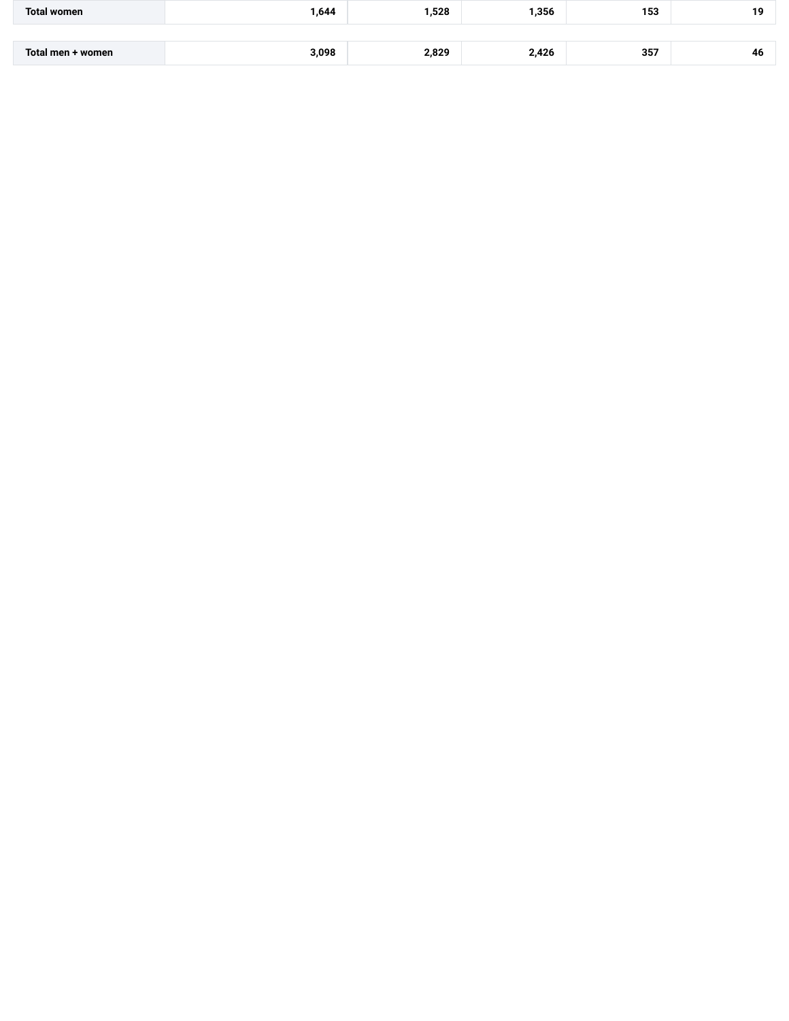| <b>Total women</b> | ,644  | 528, ا | ,356  | 153 | 19 |
|--------------------|-------|--------|-------|-----|----|
|                    |       |        |       |     |    |
| Total men + women  | 3,098 | 2,829  | 2,426 | 357 | 46 |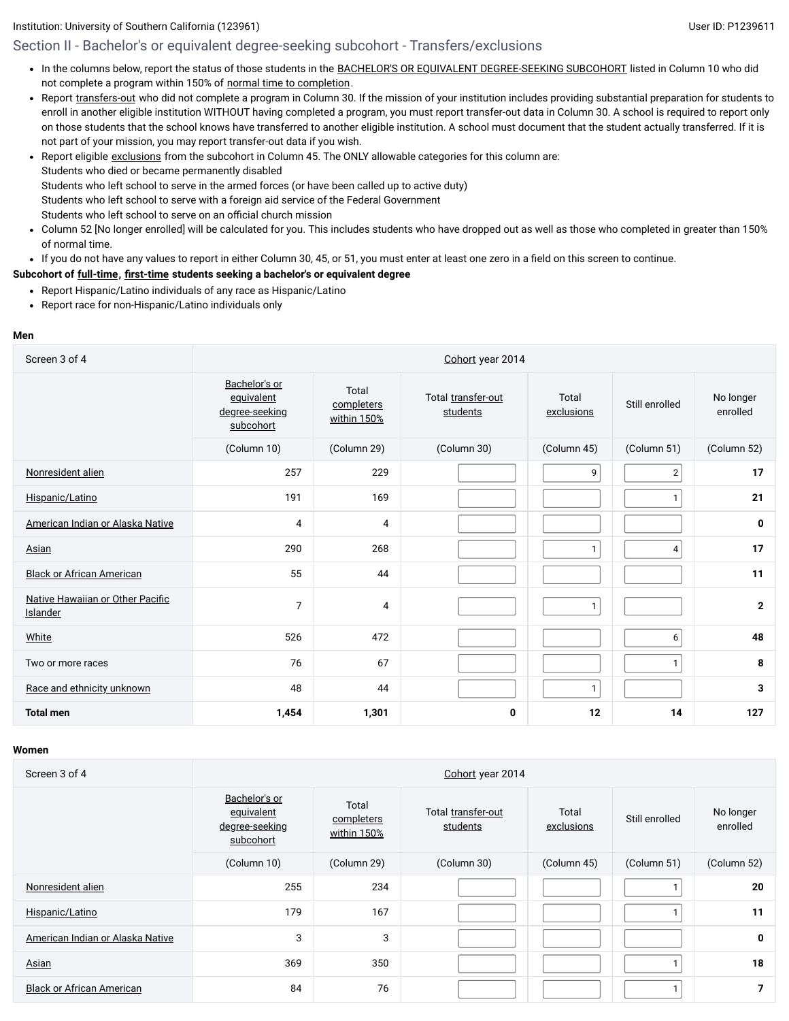# Section II - Bachelor's or equivalent degree-seeking subcohort - Transfers/exclusions

- In the columns below, report the status of those students in the BACHELOR'S OR EQUIVALENT [DEGREE-SEEKING SUBCOHORT](javascript:openglossary(79)) listed in Column 10 who did not complete a program within 150% of normal time to [completion](javascript:openglossary(421)).
- Report [transfers-out](javascript:openglossary(657)) who did not complete a program in Column 30. If the mission of your institution includes providing substantial preparation for students to enroll in another eligible institution WITHOUT having completed a program, you must report transfer-out data in Column 30. A school is required to report only on those students that the school knows have transferred to another eligible institution. A school must document that the student actually transferred. If it is not part of your mission, you may report transfer-out data if you wish.
- Report eligible [exclusions](javascript:openglossary(207)) from the subcohort in Column 45. The ONLY allowable categories for this column are:  $\bullet$ Students who died or became permanently disabled Students who left school to serve in the armed forces (or have been called up to active duty) Students who left school to serve with a foreign aid service of the Federal Government Students who left school to serve on an official church mission
- Column 52 [No longer enrolled] will be calculated for you. This includes students who have dropped out as well as those who completed in greater than 150% of normal time.
- If you do not have any values to report in either Column 30, 45, or 51, you must enter at least one zero in a field on this screen to continue.

#### **Subcohort of [full-time](javascript:openglossary(259)), [first-time](javascript:openglossary(241)) students seeking a bachelor's or equivalent degree**

- Report Hispanic/Latino individuals of any race as Hispanic/Latino
- Report race for non-Hispanic/Latino individuals only

#### **Men**

| Screen 3 of 4                                | Cohort year 2014                                           |                                    |                                |                     |                |                       |
|----------------------------------------------|------------------------------------------------------------|------------------------------------|--------------------------------|---------------------|----------------|-----------------------|
|                                              | Bachelor's or<br>equivalent<br>degree-seeking<br>subcohort | Total<br>completers<br>within 150% | Total transfer-out<br>students | Total<br>exclusions | Still enrolled | No longer<br>enrolled |
|                                              | (Column 10)                                                | (Column 29)                        | (Column 30)                    | (Column 45)         | (Column 51)    | (Column 52)           |
| Nonresident alien                            | 257                                                        | 229                                |                                | 9                   | $\mathbf{2}$   | 17                    |
| Hispanic/Latino                              | 191                                                        | 169                                |                                |                     | $\mathbf{1}$   | 21                    |
| American Indian or Alaska Native             | 4                                                          | 4                                  |                                |                     |                | 0                     |
| Asian                                        | 290                                                        | 268                                |                                | 1                   | 4              | 17                    |
| <b>Black or African American</b>             | 55                                                         | 44                                 |                                |                     |                | 11                    |
| Native Hawaiian or Other Pacific<br>Islander | $\overline{7}$                                             | 4                                  |                                | $\mathbf{1}$        |                | $\mathbf{2}$          |
| White                                        | 526                                                        | 472                                |                                |                     | 6              | 48                    |
| Two or more races                            | 76                                                         | 67                                 |                                |                     | $\mathbf{1}$   | 8                     |
| Race and ethnicity unknown                   | 48                                                         | 44                                 |                                | 1                   |                | 3                     |
| <b>Total men</b>                             | 1,454                                                      | 1,301                              | 0                              | 12                  | 14             | 127                   |

| Screen 3 of 4                    | Cohort year 2014                                           |                                    |                                |                     |                |                       |
|----------------------------------|------------------------------------------------------------|------------------------------------|--------------------------------|---------------------|----------------|-----------------------|
|                                  | Bachelor's or<br>equivalent<br>degree-seeking<br>subcohort | Total<br>completers<br>within 150% | Total transfer-out<br>students | Total<br>exclusions | Still enrolled | No longer<br>enrolled |
|                                  | (Column 10)                                                | (Column 29)                        | (Column 30)                    | (Column 45)         | (Column 51)    | (Column 52)           |
| Nonresident alien                | 255                                                        | 234                                |                                |                     |                | 20                    |
| Hispanic/Latino                  | 179                                                        | 167                                |                                |                     |                | 11                    |
| American Indian or Alaska Native | 3                                                          | 3                                  |                                |                     |                | $\mathbf 0$           |
| Asian                            | 369                                                        | 350                                |                                |                     |                | 18                    |
| <b>Black or African American</b> | 84                                                         | 76                                 |                                |                     |                | 7                     |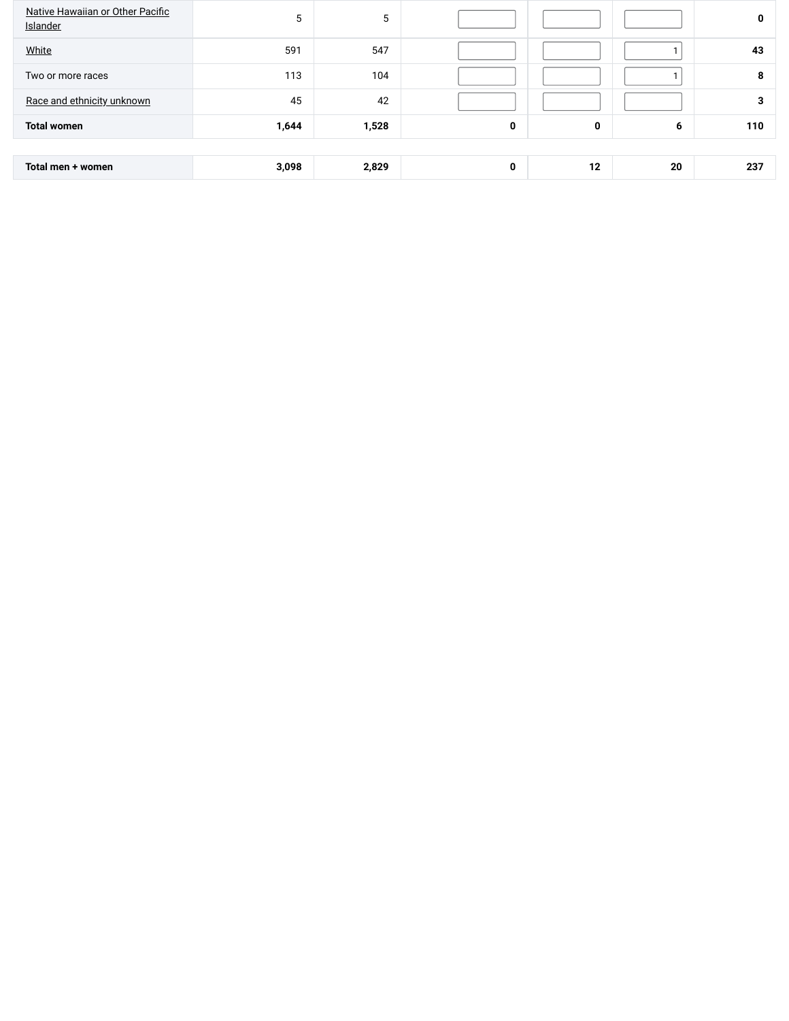| Native Hawaiian or Other Pacific<br>Islander | 5     | 5     |   |    |    | 0   |
|----------------------------------------------|-------|-------|---|----|----|-----|
| White                                        | 591   | 547   |   |    |    | 43  |
| Two or more races                            | 113   | 104   |   |    |    | 8   |
| Race and ethnicity unknown                   | 45    | 42    |   |    |    | 3   |
| <b>Total women</b>                           | 1,644 | 1,528 | 0 | 0  | 6  | 110 |
|                                              |       |       |   |    |    |     |
| Total men + women                            | 3,098 | 2,829 | 0 | 12 | 20 | 237 |
|                                              |       |       |   |    |    |     |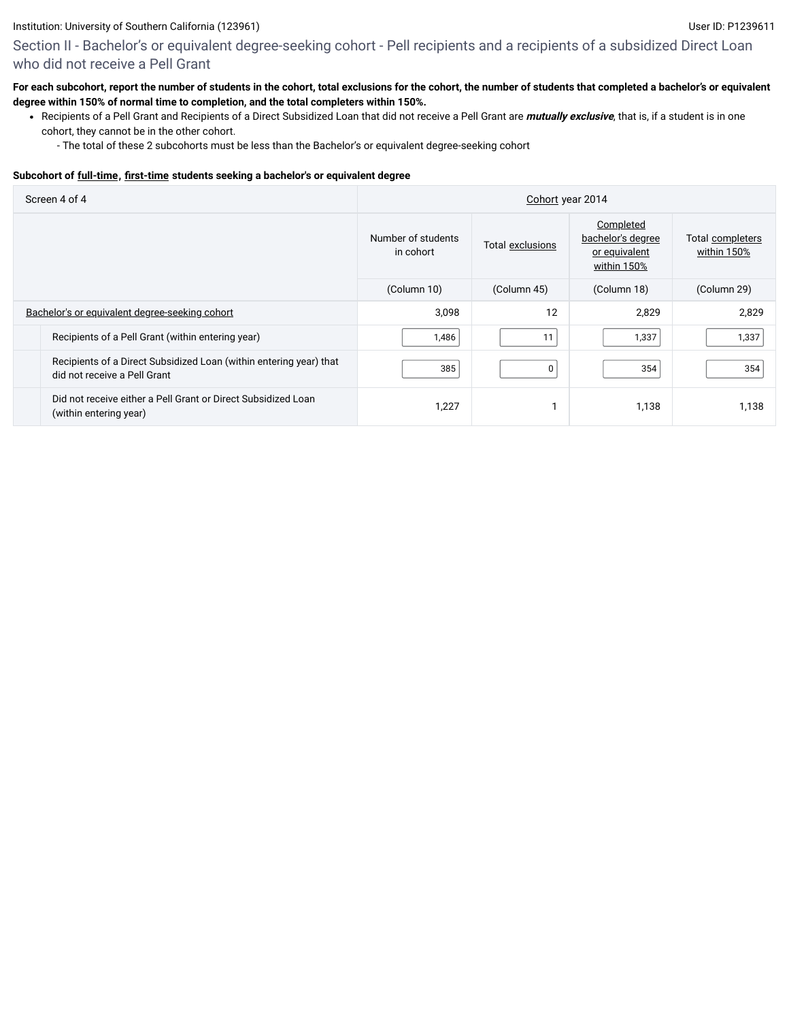Section II - Bachelor's or equivalent degree-seeking cohort - Pell recipients and a recipients of a subsidized Direct Loan who did not receive a Pell Grant

#### **For each subcohort, report the number of students in the cohort, total exclusions for the cohort, the number of students that completed a bachelor's or equivalent degree within 150% of normal time to completion, and the total completers within 150%.**

- Recipients of a Pell Grant and Recipients of a Direct Subsidized Loan that did not receive a Pell Grant are **mutually exclusive**, that is, if a student is in one cohort, they cannot be in the other cohort.
	- The total of these 2 subcohorts must be less than the Bachelor's or equivalent degree-seeking cohort

#### **Subcohort of [full-time](javascript:openglossary(259)), [first-time](javascript:openglossary(241)) students seeking a bachelor's or equivalent degree**

| Screen 4 of 4                                                                                      | Cohort year 2014                |                  |                                                                |                                 |  |
|----------------------------------------------------------------------------------------------------|---------------------------------|------------------|----------------------------------------------------------------|---------------------------------|--|
|                                                                                                    | Number of students<br>in cohort | Total exclusions | Completed<br>bachelor's degree<br>or equivalent<br>within 150% | Total completers<br>within 150% |  |
|                                                                                                    | (Column 10)                     | (Column 45)      | (Column 18)                                                    | (Column 29)                     |  |
| Bachelor's or equivalent degree-seeking cohort                                                     | 3,098                           | 12               | 2,829                                                          | 2,829                           |  |
| Recipients of a Pell Grant (within entering year)                                                  | 1,486                           | 11               | 1,337                                                          | 1,337                           |  |
| Recipients of a Direct Subsidized Loan (within entering year) that<br>did not receive a Pell Grant | 385                             | $\mathbf 0$      | 354                                                            | 354                             |  |
| Did not receive either a Pell Grant or Direct Subsidized Loan<br>(within entering year)            | 1,227                           | и                | 1,138                                                          | 1,138                           |  |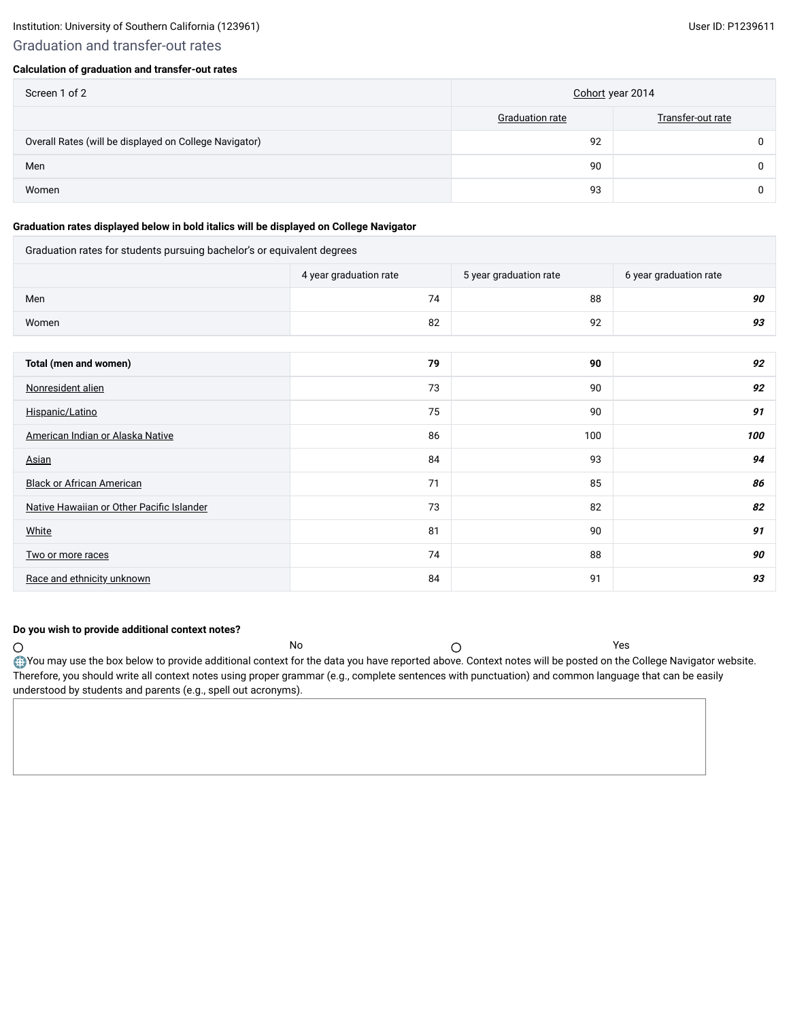# Graduation and transfer-out rates

#### **Calculation of graduation and transfer-out rates**

| Screen 1 of 2                                          | Cohort year 2014 |                   |  |
|--------------------------------------------------------|------------------|-------------------|--|
|                                                        | Graduation rate  | Transfer-out rate |  |
| Overall Rates (will be displayed on College Navigator) | 92               |                   |  |
| Men                                                    | 90               |                   |  |
| Women                                                  | 93               |                   |  |

#### **Graduation rates displayed below in bold italics will be displayed on College Navigator**

Graduation rates for students pursuing bachelor's or equivalent degrees

|                                           | 4 year graduation rate | 5 year graduation rate | 6 year graduation rate |
|-------------------------------------------|------------------------|------------------------|------------------------|
| Men                                       | 74                     | 88                     | 90                     |
| Women                                     | 82                     | 92                     | 93                     |
|                                           |                        |                        |                        |
| Total (men and women)                     | 79                     | 90                     | 92                     |
| Nonresident alien                         | 73                     | 90                     | 92                     |
| Hispanic/Latino                           | 75                     | 90                     | 91                     |
| American Indian or Alaska Native          | 86                     | 100                    | 100                    |
| Asian                                     | 84                     | 93                     | 94                     |
| <b>Black or African American</b>          | 71                     | 85                     | 86                     |
| Native Hawaiian or Other Pacific Islander | 73                     | 82                     | 82                     |
| White                                     | 81                     | 90                     | 91                     |
| Two or more races                         | 74                     | 88                     | 90                     |

### **Do you wish to provide additional context notes?**

No  $\bigcap$  $\circ$ You may use the box below to provide additional context for the data you have reported above. Context notes will be posted on the College Navigator website. Therefore, you should write all context notes using proper grammar (e.g., complete sentences with punctuation) and common language that can be easily understood by students and parents (e.g., spell out acronyms).

[Race and ethnicity unknown](javascript:openglossary(543)) 84 91 **93**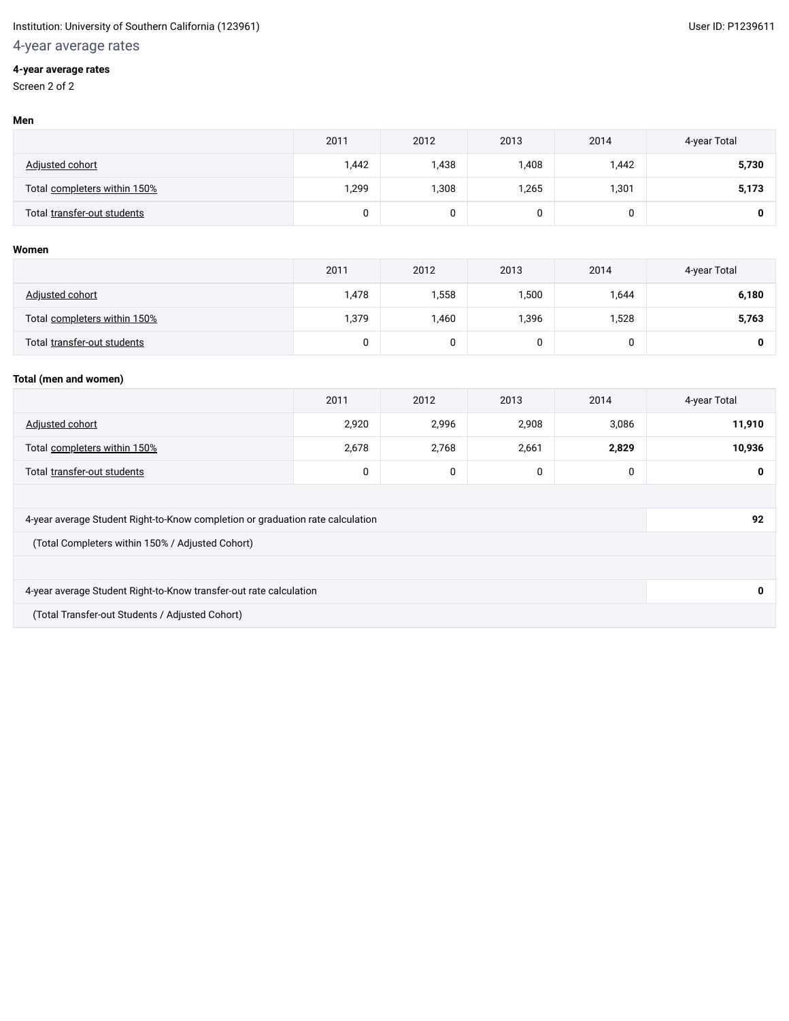# 4-year average rates

#### **4-year average rates**

Screen 2 of 2

|                              | 2011  | 2012  | 2013  | 2014  | 4-year Total |
|------------------------------|-------|-------|-------|-------|--------------|
| Adjusted cohort              | 1,442 | 1,438 | 1,408 | I,442 | 5,730        |
| Total completers within 150% | 1,299 | 1,308 | 1,265 | 301,ا | 5,173        |
| Total transfer-out students  | 0     |       |       |       |              |

#### **Women**

|                              | 2011  | 2012  | 2013   | 2014  | 4-year Total |
|------------------------------|-------|-------|--------|-------|--------------|
| Adjusted cohort              | 1,478 | 558,  | 500, ا | 1,644 | 6,180        |
| Total completers within 150% | 1,379 | 1,460 | 1,396  | 1,528 | 5,763        |
| Total transfer-out students  | υ     |       |        | u     |              |

#### **Total (men and women)**

|                              | 2011  | 2012  | 2013  | 2014  | 4-year Total |
|------------------------------|-------|-------|-------|-------|--------------|
| Adjusted cohort              | 2,920 | 2,996 | 2,908 | 3,086 | 11,910       |
| Total completers within 150% | 2,678 | 2,768 | 2,661 | 2,829 | 10,936       |
| Total transfer-out students  |       | u     | 0     |       | 0            |

| 4-year average Student Right-to-Know completion or graduation rate calculation | 92 |
|--------------------------------------------------------------------------------|----|
| (Total Completers within 150% / Adjusted Cohort)                               |    |
|                                                                                |    |
| 4-year average Student Right-to-Know transfer-out rate calculation             |    |
| (Total Transfer-out Students / Adjusted Cohort)                                |    |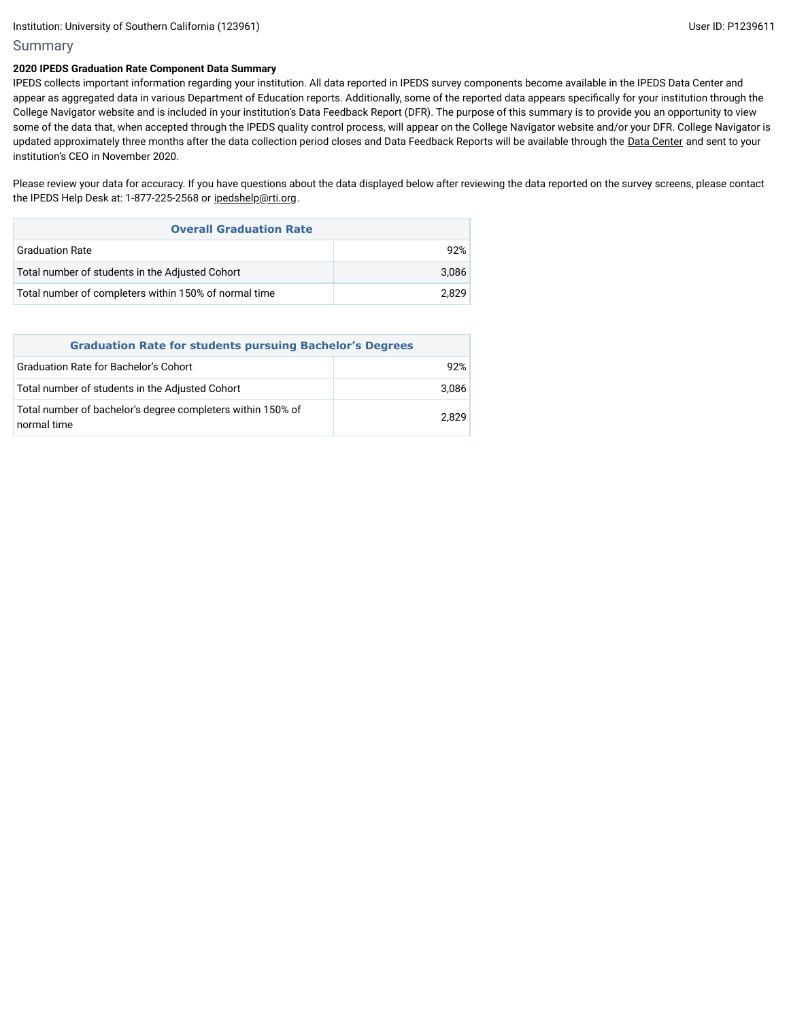### Summary

#### **2020 IPEDS Graduation Rate Component Data Summary**

IPEDS collects important information regarding your institution. All data reported in IPEDS survey components become available in the IPEDS Data Center and appear as aggregated data in various Department of Education reports. Additionally, some of the reported data appears specifically for your institution through the College Navigator website and is included in your institution's Data Feedback Report (DFR). The purpose of this summary is to provide you an opportunity to view some of the data that, when accepted through the IPEDS quality control process, will appear on the College Navigator website and/or your DFR. College Navigator is updated approximately three months after the data collection period closes and Data Feedback Reports will be available through the Data [Center](https://nces.ed.gov/ipeds/use-the-data) and sent to your institution's CEO in November 2020.

Please review your data for accuracy. If you have questions about the data displayed below after reviewing the data reported on the survey screens, please contact the IPEDS Help Desk at: 1-877-225-2568 or [ipedshelp@rti.org.](mailto:ipedshelp@rti.org)

| <b>Overall Graduation Rate</b>                        |       |  |  |  |
|-------------------------------------------------------|-------|--|--|--|
| <b>Graduation Rate</b>                                | 92%   |  |  |  |
| Total number of students in the Adjusted Cohort       | 3.086 |  |  |  |
| Total number of completers within 150% of normal time | 2.829 |  |  |  |

| <b>Graduation Rate for students pursuing Bachelor's Degrees</b>            |       |  |  |  |
|----------------------------------------------------------------------------|-------|--|--|--|
| <b>Graduation Rate for Bachelor's Cohort</b>                               | 92%   |  |  |  |
| Total number of students in the Adjusted Cohort                            | 3,086 |  |  |  |
| Total number of bachelor's degree completers within 150% of<br>normal time | 2.829 |  |  |  |